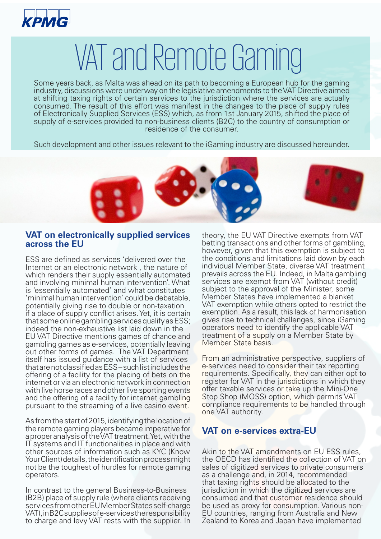

## VAT and Remote Gaming

Some years back, as Malta was ahead on its path to becoming a European hub for the gaming industry, discussions were underway on the legislative amendments to the VAT Directive aimed at shifting taxing rights of certain services to the jurisdiction where the services are actually consumed. The result of this effort was manifest in the changes to the place of supply rules of Electronically Supplied Services (ESS) which, as from 1st January 2015, shifted the place of supply of e-services provided to non-business clients (B2C) to the country of consumption or residence of the consumer.

Such development and other issues relevant to the iGaming industry are discussed hereunder.



## **VAT on electronically supplied services across the EU**

ESS are defined as services 'delivered over the Internet or an electronic network , the nature of which renders their supply essentially automated and involving minimal human intervention'. What is 'essentially automated' and what constitutes 'minimal human intervention' could be debatable, potentially giving rise to double or non-taxation if a place of supply conflict arises. Yet, it is certain that some online gambling services qualify as ESS; indeed the non-exhaustive list laid down in the EU VAT Directive mentions games of chance and gambling games as e-services, potentially leaving out other forms of games. The VAT Department itself has issued guidance with a list of services that are not classified as ESS – such list includes the offering of a facility for the placing of bets on the internet or via an electronic network in connection with live horse races and other live sporting events and the offering of a facility for internet gambling pursuant to the streaming of a live casino event.

As from the start of 2015, identifying the location of the remote gaming players became imperative for a proper analysis of the VAT treatment. Yet, with the IT systems and IT functionalities in place and with other sources of information such as KYC (Know Your Client) details, the identification process might not be the toughest of hurdles for remote gaming operators.

In contrast to the general Business-to-Business (B2B) place of supply rule (where clients receiving services from other EU Member States self-charge VAT), in B2C supplies of e-services the responsibility to charge and levy VAT rests with the supplier. In

theory, the EU VAT Directive exempts from VAT betting transactions and other forms of gambling, however, given that this exemption is subject to the conditions and limitations laid down by each individual Member State, diverse VAT treatment prevails across the EU. Indeed, in Malta gambling services are exempt from VAT (without credit) subject to the approval of the Minister, some Member States have implemented a blanket VAT exemption while others opted to restrict the exemption. As a result, this lack of harmonisation gives rise to technical challenges, since iGaming operators need to identify the applicable VAT treatment of a supply on a Member State by Member State basis.

From an administrative perspective, suppliers of e-services need to consider their tax reporting requirements. Specifically, they can either opt to register for VAT in the jurisdictions in which they offer taxable services or take up the Mini-One Stop Shop (MOSS) option, which permits VAT compliance requirements to be handled through one VAT authority.

## **VAT on e-services extra-EU**

Akin to the VAT amendments on EU ESS rules, the OECD has identified the collection of VAT on sales of digitized services to private consumers as a challenge and, in 2014, recommended that taxing rights should be allocated to the jurisdiction in which the digitized services are consumed and that customer residence should be used as proxy for consumption. Various non-EU countries, ranging from Australia and New Zealand to Korea and Japan have implemented